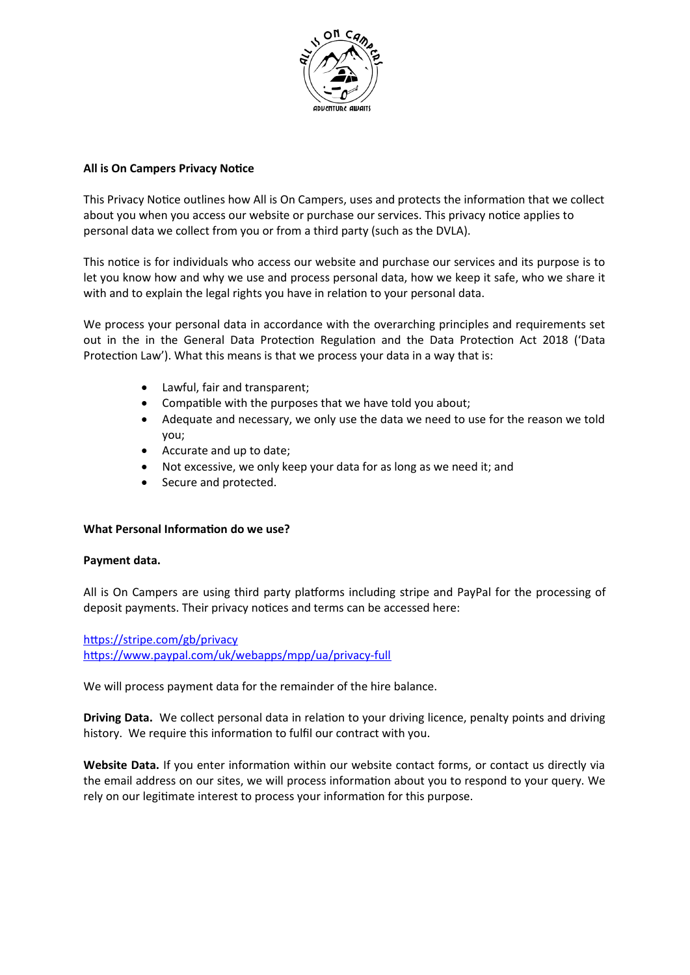

# **All is On Campers Privacy Notice**

This Privacy Notice outlines how All is On Campers, uses and protects the information that we collect about you when you access our website or purchase our services. This privacy notice applies to personal data we collect from you or from a third party (such as the DVLA).

This notice is for individuals who access our website and purchase our services and its purpose is to let you know how and why we use and process personal data, how we keep it safe, who we share it with and to explain the legal rights you have in relation to your personal data.

We process your personal data in accordance with the overarching principles and requirements set out in the in the General Data Protection Regulation and the Data Protection Act 2018 ('Data Protection Law'). What this means is that we process your data in a way that is:

- Lawful, fair and transparent;
- Compatible with the purposes that we have told you about;
- Adequate and necessary, we only use the data we need to use for the reason we told you;
- Accurate and up to date;
- Not excessive, we only keep your data for as long as we need it; and
- Secure and protected.

## **What Personal Information do we use?**

## **Payment data.**

All is On Campers are using third party platforms including stripe and PayPal for the processing of deposit payments. Their privacy notices and terms can be accessed here:

<https://stripe.com/gb/privacy> <https://www.paypal.com/uk/webapps/mpp/ua/privacy-full>

We will process payment data for the remainder of the hire balance.

**Driving Data.** We collect personal data in relation to your driving licence, penalty points and driving history. We require this information to fulfil our contract with you.

Website Data. If you enter information within our website contact forms, or contact us directly via the email address on our sites, we will process information about you to respond to your query. We rely on our legitimate interest to process your information for this purpose.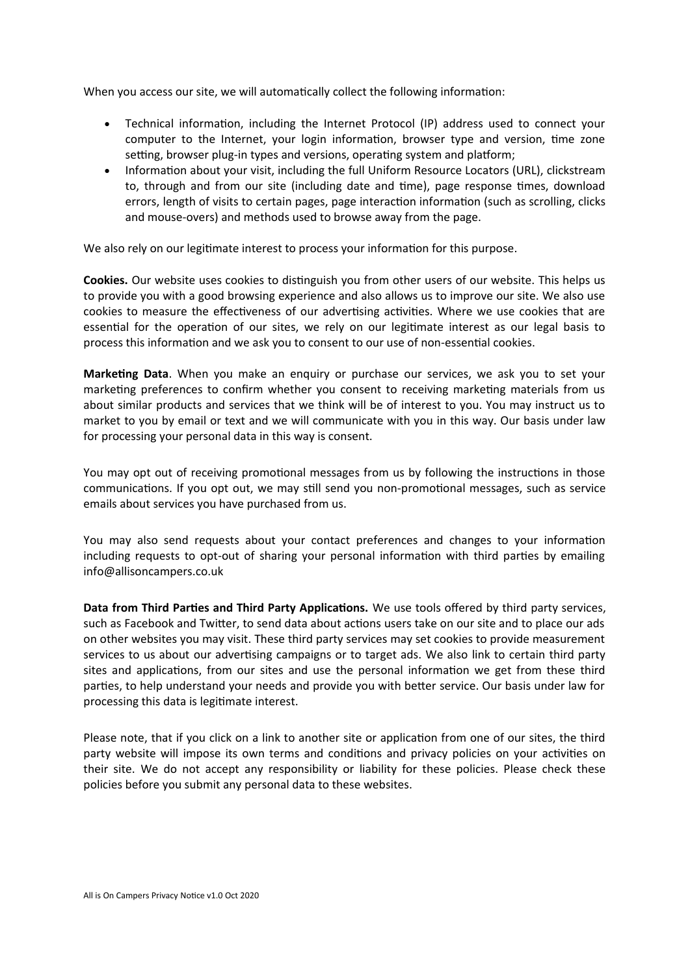When you access our site, we will automatically collect the following information:

- Technical information, including the Internet Protocol (IP) address used to connect your computer to the Internet, your login information, browser type and version, time zone setting, browser plug-in types and versions, operating system and platform;
- Information about your visit, including the full Uniform Resource Locators (URL), clickstream to, through and from our site (including date and time), page response times, download errors, length of visits to certain pages, page interaction information (such as scrolling, clicks and mouse-overs) and methods used to browse away from the page.

We also rely on our legitimate interest to process your information for this purpose.

**Cookies.** Our website uses cookies to distinguish you from other users of our website. This helps us to provide you with a good browsing experience and also allows us to improve our site. We also use cookies to measure the effectiveness of our advertising activities. Where we use cookies that are essential for the operation of our sites, we rely on our legitimate interest as our legal basis to process this information and we ask you to consent to our use of non-essential cookies.

**Marketing Data**. When you make an enquiry or purchase our services, we ask you to set your marketing preferences to confirm whether you consent to receiving marketing materials from us about similar products and services that we think will be of interest to you. You may instruct us to market to you by email or text and we will communicate with you in this way. Our basis under law for processing your personal data in this way is consent.

You may opt out of receiving promotional messages from us by following the instructions in those communications. If you opt out, we may still send you non-promotional messages, such as service emails about services you have purchased from us.

You may also send requests about your contact preferences and changes to your information including requests to opt-out of sharing your personal information with third parties by emailing info@allisoncampers.co.uk

**Data from Third Parties and Third Party Applications.** We use tools offered by third party services, such as Facebook and Twitter, to send data about actions users take on our site and to place our ads on other websites you may visit. These third party services may set cookies to provide measurement services to us about our advertising campaigns or to target ads. We also link to certain third party sites and applications, from our sites and use the personal information we get from these third parties, to help understand your needs and provide you with better service. Our basis under law for processing this data is legitimate interest.

Please note, that if you click on a link to another site or application from one of our sites, the third party website will impose its own terms and conditions and privacy policies on your activities on their site. We do not accept any responsibility or liability for these policies. Please check these policies before you submit any personal data to these websites.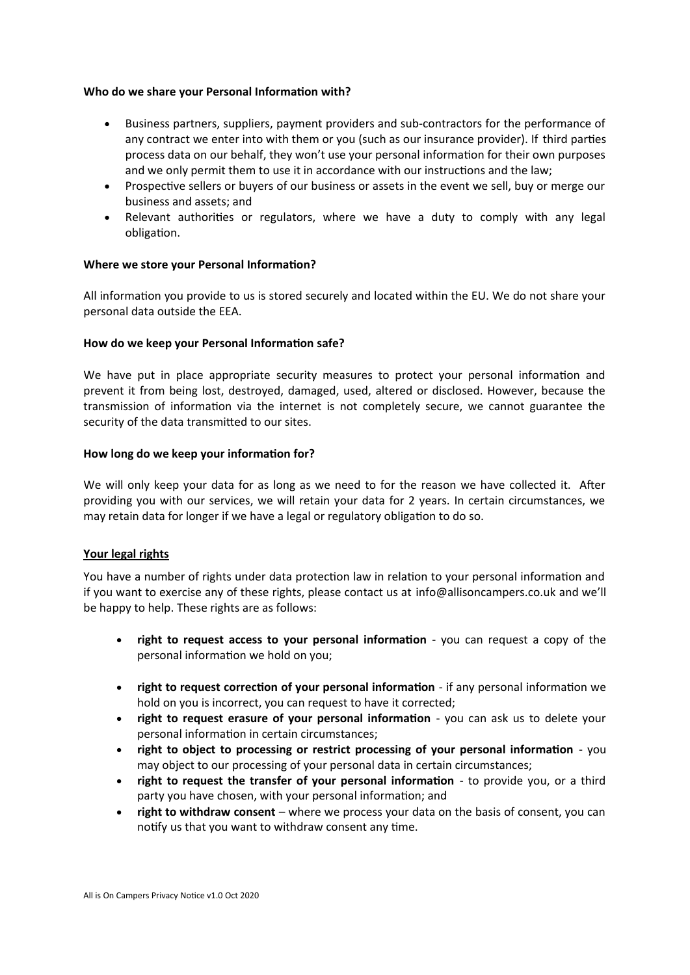### **Who do we share your Personal Information with?**

- Business partners, suppliers, payment providers and sub-contractors for the performance of any contract we enter into with them or you (such as our insurance provider). If third parties process data on our behalf, they won't use your personal information for their own purposes and we only permit them to use it in accordance with our instructions and the law;
- Prospective sellers or buyers of our business or assets in the event we sell, buy or merge our business and assets; and
- Relevant authorities or regulators, where we have a duty to comply with any legal obligation.

### **Where we store your Personal Information?**

All information you provide to us is stored securely and located within the EU. We do not share your personal data outside the EEA.

### **How do we keep your Personal Information safe?**

We have put in place appropriate security measures to protect your personal information and prevent it from being lost, destroyed, damaged, used, altered or disclosed. However, because the transmission of information via the internet is not completely secure, we cannot guarantee the security of the data transmitted to our sites.

#### **How long do we keep your information for?**

We will only keep your data for as long as we need to for the reason we have collected it. After providing you with our services, we will retain your data for 2 years. In certain circumstances, we may retain data for longer if we have a legal or regulatory obligation to do so.

#### **Your legal rights**

You have a number of rights under data protection law in relation to your personal information and if you want to exercise any of these rights, please contact us at info@allisoncampers.co.uk and we'll be happy to help. These rights are as follows:

- **right to request access to your personal information**  you can request a copy of the personal information we hold on you;
- **right to request correction of your personal information**  if any personal information we hold on you is incorrect, you can request to have it corrected;
- **right to request erasure of your personal information** you can ask us to delete your personal information in certain circumstances;
- **right to object to processing or restrict processing of your personal information** you may object to our processing of your personal data in certain circumstances;
- **right to request the transfer of your personal information** to provide you, or a third party you have chosen, with your personal information; and
- **right to withdraw consent**  where we process your data on the basis of consent, you can notify us that you want to withdraw consent any time.